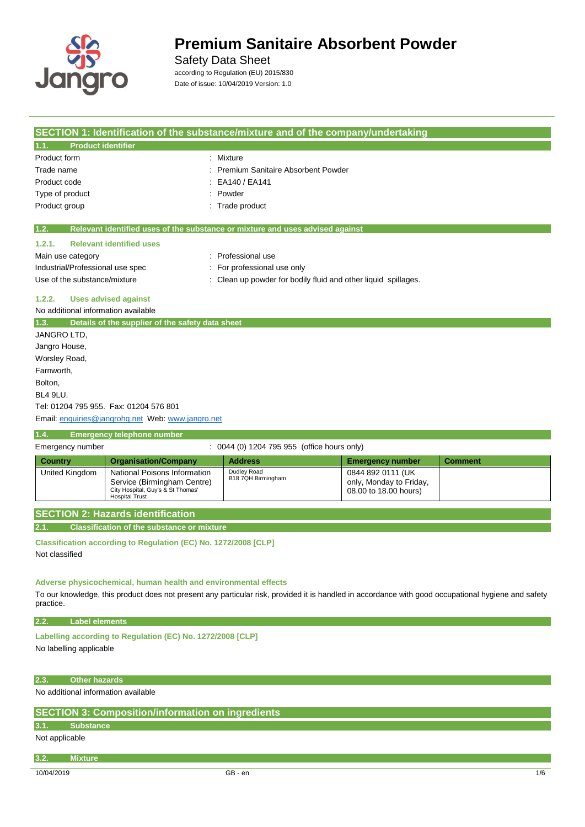

Safety Data Sheet

according to Regulation (EU) 2015/830 Date of issue: 10/04/2019 Version: 1.0

|                                            | SECTION 1: Identification of the substance/mixture and of the company/undertaking                                         |                                                                                                                                                     |                                                                       |                |
|--------------------------------------------|---------------------------------------------------------------------------------------------------------------------------|-----------------------------------------------------------------------------------------------------------------------------------------------------|-----------------------------------------------------------------------|----------------|
| <b>Product identifier</b><br>1.1.          |                                                                                                                           |                                                                                                                                                     |                                                                       |                |
| Product form                               |                                                                                                                           | : Mixture                                                                                                                                           |                                                                       |                |
| Trade name                                 |                                                                                                                           | : Premium Sanitaire Absorbent Powder                                                                                                                |                                                                       |                |
| Product code                               |                                                                                                                           | EA140 / EA141                                                                                                                                       |                                                                       |                |
| Type of product                            |                                                                                                                           | : Powder                                                                                                                                            |                                                                       |                |
| Product group                              |                                                                                                                           | : Trade product                                                                                                                                     |                                                                       |                |
| 1.2.                                       |                                                                                                                           | Relevant identified uses of the substance or mixture and uses advised against                                                                       |                                                                       |                |
| 1.2.1.                                     | <b>Relevant identified uses</b>                                                                                           |                                                                                                                                                     |                                                                       |                |
| Main use category                          |                                                                                                                           | : Professional use                                                                                                                                  |                                                                       |                |
| Industrial/Professional use spec           |                                                                                                                           | : For professional use only                                                                                                                         |                                                                       |                |
| Use of the substance/mixture               |                                                                                                                           | : Clean up powder for bodily fluid and other liquid spillages.                                                                                      |                                                                       |                |
| 1.2.2.                                     | <b>Uses advised against</b>                                                                                               |                                                                                                                                                     |                                                                       |                |
| No additional information available        |                                                                                                                           |                                                                                                                                                     |                                                                       |                |
| 1.3.                                       | Details of the supplier of the safety data sheet                                                                          |                                                                                                                                                     |                                                                       |                |
| JANGRO LTD.                                |                                                                                                                           |                                                                                                                                                     |                                                                       |                |
| Jangro House,                              |                                                                                                                           |                                                                                                                                                     |                                                                       |                |
| Worsley Road,                              |                                                                                                                           |                                                                                                                                                     |                                                                       |                |
| Farnworth,                                 |                                                                                                                           |                                                                                                                                                     |                                                                       |                |
| Bolton,                                    |                                                                                                                           |                                                                                                                                                     |                                                                       |                |
| <b>BL4 9LU.</b>                            |                                                                                                                           |                                                                                                                                                     |                                                                       |                |
|                                            | Tel: 01204 795 955. Fax: 01204 576 801                                                                                    |                                                                                                                                                     |                                                                       |                |
|                                            | Email: enquiries@jangrohq.net Web: www.jangro.net                                                                         |                                                                                                                                                     |                                                                       |                |
| 1.4.                                       | <b>Emergency telephone number</b>                                                                                         |                                                                                                                                                     |                                                                       |                |
| Emergency number                           |                                                                                                                           | : 0044 (0) 1204 795 955 (office hours only)                                                                                                         |                                                                       |                |
| <b>Country</b>                             |                                                                                                                           |                                                                                                                                                     |                                                                       |                |
|                                            | <b>Organisation/Company</b>                                                                                               | <b>Address</b>                                                                                                                                      | <b>Emergency number</b>                                               | <b>Comment</b> |
| United Kingdom                             | National Poisons Information<br>Service (Birmingham Centre)<br>City Hospital, Guy's & St Thomas'<br><b>Hospital Trust</b> | Dudley Road<br>B18 7QH Birmingham                                                                                                                   | 0844 892 0111 (UK<br>only, Monday to Friday,<br>08.00 to 18.00 hours) |                |
|                                            |                                                                                                                           |                                                                                                                                                     |                                                                       |                |
|                                            | <b>SECTION 2: Hazards identification</b>                                                                                  |                                                                                                                                                     |                                                                       |                |
| 2.1.                                       | <b>Classification of the substance or mixture</b>                                                                         |                                                                                                                                                     |                                                                       |                |
|                                            | Classification according to Regulation (EC) No. 1272/2008 [CLP]                                                           |                                                                                                                                                     |                                                                       |                |
| Not classified                             |                                                                                                                           |                                                                                                                                                     |                                                                       |                |
|                                            |                                                                                                                           |                                                                                                                                                     |                                                                       |                |
| practice.                                  | Adverse physicochemical, human health and environmental effects                                                           | To our knowledge, this product does not present any particular risk, provided it is handled in accordance with good occupational hygiene and safety |                                                                       |                |
| <b>Label elements</b>                      |                                                                                                                           |                                                                                                                                                     |                                                                       |                |
| 2.2.                                       |                                                                                                                           |                                                                                                                                                     |                                                                       |                |
|                                            | Labelling according to Regulation (EC) No. 1272/2008 [CLP]                                                                |                                                                                                                                                     |                                                                       |                |
| No labelling applicable                    |                                                                                                                           |                                                                                                                                                     |                                                                       |                |
|                                            |                                                                                                                           |                                                                                                                                                     |                                                                       |                |
| <b>Other hazards</b><br>2.3.               |                                                                                                                           |                                                                                                                                                     |                                                                       |                |
| No additional information available        |                                                                                                                           |                                                                                                                                                     |                                                                       |                |
|                                            |                                                                                                                           |                                                                                                                                                     |                                                                       |                |
|                                            | <b>SECTION 3: Composition/information on ingredients</b>                                                                  |                                                                                                                                                     |                                                                       |                |
| <b>Substance</b><br>3.1.<br>Not applicable |                                                                                                                           |                                                                                                                                                     |                                                                       |                |
|                                            |                                                                                                                           |                                                                                                                                                     |                                                                       |                |
| <b>Mixture</b><br>3.2.<br>10/04/2019       |                                                                                                                           | GB - en                                                                                                                                             |                                                                       | 1/6            |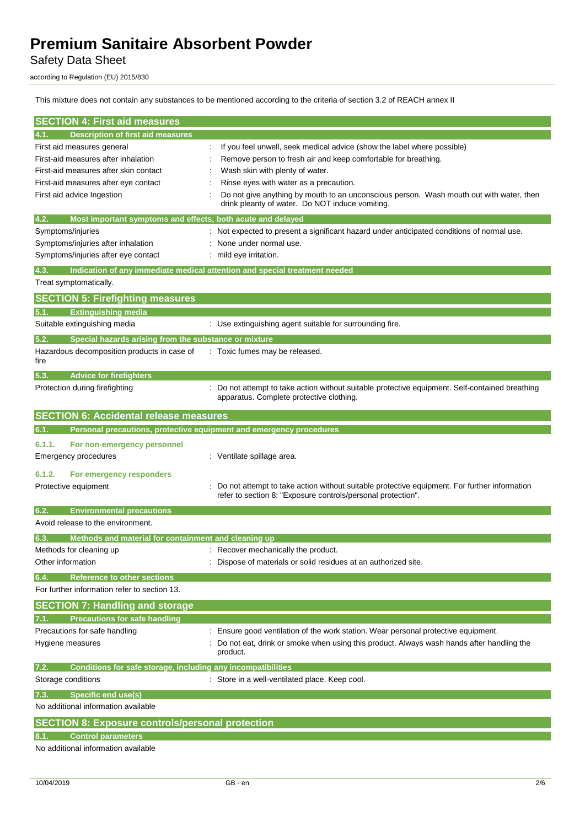Safety Data Sheet

according to Regulation (EU) 2015/830

This mixture does not contain any substances to be mentioned according to the criteria of section 3.2 of REACH annex II

| <b>SECTION 4: First aid measures</b>                                                                                                                                             |                                                                                                                                                                                                                                                                                                                                                                      |
|----------------------------------------------------------------------------------------------------------------------------------------------------------------------------------|----------------------------------------------------------------------------------------------------------------------------------------------------------------------------------------------------------------------------------------------------------------------------------------------------------------------------------------------------------------------|
| <b>Description of first aid measures</b><br> 4.1.                                                                                                                                |                                                                                                                                                                                                                                                                                                                                                                      |
| First aid measures general<br>First-aid measures after inhalation<br>First-aid measures after skin contact<br>First-aid measures after eye contact<br>First aid advice Ingestion | If you feel unwell, seek medical advice (show the label where possible)<br>Remove person to fresh air and keep comfortable for breathing.<br>Wash skin with plenty of water.<br>Rinse eyes with water as a precaution.<br>Do not give anything by mouth to an unconscious person. Wash mouth out with water, then<br>drink pleanty of water. Do NOT induce vomiting. |
| Most important symptoms and effects, both acute and delayed<br>4.2.                                                                                                              |                                                                                                                                                                                                                                                                                                                                                                      |
| Symptoms/injuries<br>Symptoms/injuries after inhalation<br>Symptoms/injuries after eye contact                                                                                   | : Not expected to present a significant hazard under anticipated conditions of normal use.<br>None under normal use.<br>: mild eye irritation.                                                                                                                                                                                                                       |
| 4.3.<br>Treat symptomatically.                                                                                                                                                   | Indication of any immediate medical attention and special treatment needed                                                                                                                                                                                                                                                                                           |
| <b>SECTION 5: Firefighting measures</b>                                                                                                                                          |                                                                                                                                                                                                                                                                                                                                                                      |
| <b>Extinguishing media</b><br>5.1.                                                                                                                                               |                                                                                                                                                                                                                                                                                                                                                                      |
| Suitable extinguishing media                                                                                                                                                     | : Use extinguishing agent suitable for surrounding fire.                                                                                                                                                                                                                                                                                                             |
| Special hazards arising from the substance or mixture<br>5.2.<br>Hazardous decomposition products in case of<br>fire                                                             | Toxic fumes may be released.                                                                                                                                                                                                                                                                                                                                         |
| 5.3.<br><b>Advice for firefighters</b><br>Protection during firefighting                                                                                                         | Do not attempt to take action without suitable protective equipment. Self-contained breathing<br>apparatus. Complete protective clothing.                                                                                                                                                                                                                            |
| <b>SECTION 6: Accidental release measures</b>                                                                                                                                    |                                                                                                                                                                                                                                                                                                                                                                      |
| Personal precautions, protective equipment and emergency procedures<br>6.1.                                                                                                      |                                                                                                                                                                                                                                                                                                                                                                      |
| 6.1.1.<br>For non-emergency personnel<br><b>Emergency procedures</b>                                                                                                             | : Ventilate spillage area.                                                                                                                                                                                                                                                                                                                                           |
| 6.1.2.<br>For emergency responders<br>Protective equipment                                                                                                                       | Do not attempt to take action without suitable protective equipment. For further information<br>refer to section 8: "Exposure controls/personal protection".                                                                                                                                                                                                         |
| <b>Environmental precautions</b><br>6.2.<br>Avoid release to the environment.                                                                                                    |                                                                                                                                                                                                                                                                                                                                                                      |
| Methods and material for containment and cleaning up<br>6.3.                                                                                                                     |                                                                                                                                                                                                                                                                                                                                                                      |
| Methods for cleaning up<br>Other information                                                                                                                                     | : Recover mechanically the product.<br>: Dispose of materials or solid residues at an authorized site.                                                                                                                                                                                                                                                               |
| <b>Reference to other sections</b><br>6.4.<br>For further information refer to section 13.                                                                                       |                                                                                                                                                                                                                                                                                                                                                                      |
| <b>SECTION 7: Handling and storage</b>                                                                                                                                           |                                                                                                                                                                                                                                                                                                                                                                      |
| <b>Precautions for safe handling</b>                                                                                                                                             |                                                                                                                                                                                                                                                                                                                                                                      |
| Precautions for safe handling<br>Hygiene measures                                                                                                                                | Ensure good ventilation of the work station. Wear personal protective equipment.<br>Do not eat, drink or smoke when using this product. Always wash hands after handling the<br>product.                                                                                                                                                                             |
| Conditions for safe storage, including any incompatibilities<br>7.2.                                                                                                             |                                                                                                                                                                                                                                                                                                                                                                      |
| Storage conditions                                                                                                                                                               | : Store in a well-ventilated place. Keep cool.                                                                                                                                                                                                                                                                                                                       |
| <b>Specific end use(s)</b><br>7.3.<br>No additional information available                                                                                                        |                                                                                                                                                                                                                                                                                                                                                                      |
|                                                                                                                                                                                  |                                                                                                                                                                                                                                                                                                                                                                      |
| <b>SECTION 8: Exposure controls/personal protection</b><br><b>Control parameters</b><br>8.1.<br>No additional information available                                              |                                                                                                                                                                                                                                                                                                                                                                      |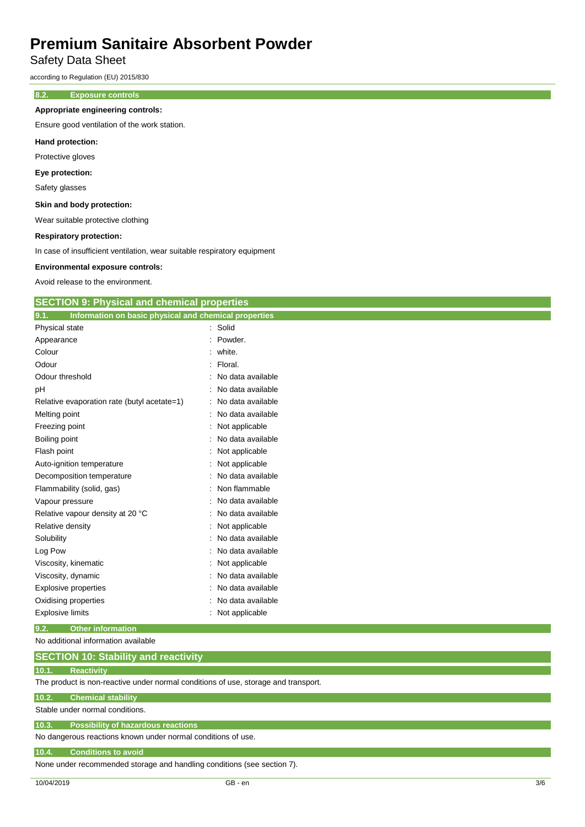Safety Data Sheet

according to Regulation (EU) 2015/830

### **8.2. Exposure controls**

### **Appropriate engineering controls:**

Ensure good ventilation of the work station.

#### **Hand protection:**

Protective gloves

### **Eye protection:**

Safety glasses

#### **Skin and body protection:**

Wear suitable protective clothing

#### **Respiratory protection:**

In case of insufficient ventilation, wear suitable respiratory equipment

#### **Environmental exposure controls:**

Avoid release to the environment.

| <b>SECTION 9: Physical and chemical properties</b> |  |  |
|----------------------------------------------------|--|--|
|                                                    |  |  |

| Information on basic physical and chemical properties<br>9.1. |                   |
|---------------------------------------------------------------|-------------------|
| Physical state                                                | : Solid           |
| Appearance                                                    | Powder.           |
| Colour                                                        | : white.          |
| Odour                                                         | : Floral.         |
| Odour threshold                                               | No data available |
| pH                                                            | No data available |
| Relative evaporation rate (butyl acetate=1)                   | No data available |
| Melting point                                                 | No data available |
| Freezing point                                                | Not applicable    |
| Boiling point                                                 | No data available |
| Flash point                                                   | Not applicable    |
| Auto-ignition temperature                                     | Not applicable    |
| Decomposition temperature                                     | No data available |
| Flammability (solid, gas)                                     | Non flammable     |
| Vapour pressure                                               | No data available |
| Relative vapour density at 20 °C                              | No data available |
| Relative density                                              | Not applicable    |
| Solubility                                                    | No data available |
| Log Pow                                                       | No data available |
| Viscosity, kinematic                                          | Not applicable    |
| Viscosity, dynamic                                            | No data available |
| <b>Explosive properties</b>                                   | No data available |
| Oxidising properties                                          | No data available |
| <b>Explosive limits</b>                                       | Not applicable    |
|                                                               |                   |

#### **9.2. Other information**

No additional information available

#### **10.1. Reactivity**

The product is non-reactive under normal conditions of use, storage and transport.

#### **10.2. Chemical stability**

Stable under normal conditions.

## **10.3. Possibility of hazardous reactions**

No dangerous reactions known under normal conditions of use.

#### **10.4. Conditions to avoid**

None under recommended storage and handling conditions (see section 7).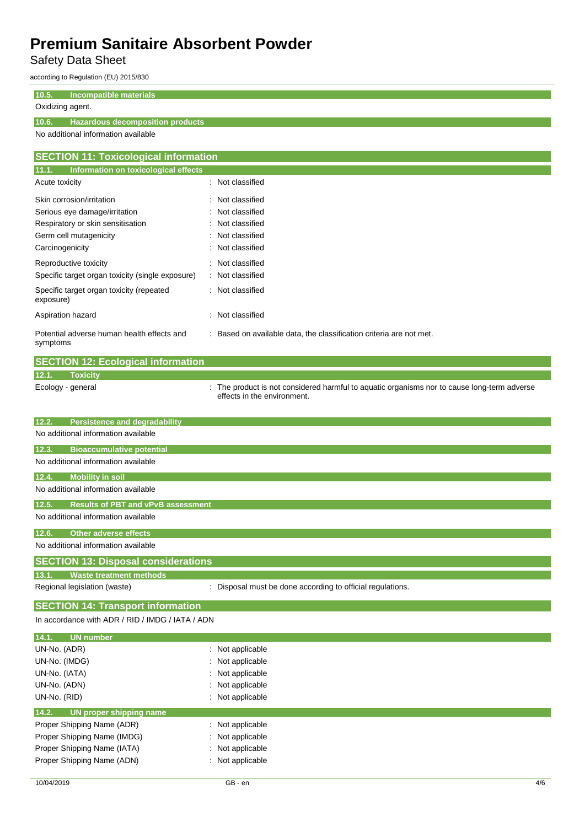Safety Data Sheet

according to Regulation (EU) 2015/830

### **10.5. Incompatible materials**

## Oxidizing agent.

### **10.6. Hazardous decomposition products**

No additional information available

| <b>SECTION 11: Toxicological information</b>           |                                                                     |  |
|--------------------------------------------------------|---------------------------------------------------------------------|--|
| 11.1.<br>Information on toxicological effects          |                                                                     |  |
| Acute toxicity                                         | : Not classified                                                    |  |
| Skin corrosion/irritation                              | : Not classified                                                    |  |
| Serious eye damage/irritation                          | : Not classified                                                    |  |
| Respiratory or skin sensitisation                      | : Not classified                                                    |  |
| Germ cell mutagenicity                                 | : Not classified                                                    |  |
| Carcinogenicity                                        | : Not classified                                                    |  |
| Reproductive toxicity                                  | : Not classified                                                    |  |
| Specific target organ toxicity (single exposure)       | : Not classified                                                    |  |
| Specific target organ toxicity (repeated<br>exposure)  | : Not classified                                                    |  |
| Aspiration hazard                                      | Not classified<br>÷                                                 |  |
| Potential adverse human health effects and<br>symptoms | : Based on available data, the classification criteria are not met. |  |

|       | <b>SECTION 12: Ecological information</b> |                                                                                                                            |
|-------|-------------------------------------------|----------------------------------------------------------------------------------------------------------------------------|
| 12.1. | <b>Toxicity</b>                           |                                                                                                                            |
|       | Ecology - general                         | : The product is not considered harmful to aquatic organisms nor to cause long-term adverse<br>effects in the environment. |

| 12.2.<br><b>Persistence and degradability</b>                                              |
|--------------------------------------------------------------------------------------------|
| No additional information available                                                        |
| <b>Bioaccumulative potential</b><br>12.3.                                                  |
| No additional information available                                                        |
| <b>Mobility in soil</b><br>12.4.                                                           |
| No additional information available                                                        |
| <b>Results of PBT and vPvB assessment</b><br>12.5.                                         |
| No additional information available                                                        |
| <b>Other adverse effects</b><br>12.6.                                                      |
| No additional information available                                                        |
| <b>SECTION 13: Disposal considerations</b>                                                 |
| 13.1.<br><b>Waste treatment methods</b>                                                    |
| : Disposal must be done according to official regulations.<br>Regional legislation (waste) |

# **SECTION 14: Transport information**

In accordance with ADR / RID / IMDG / IATA / ADN

| $\therefore$ Not applicable |
|-----------------------------|
| : Not applicable            |
| : Not applicable            |
| : Not applicable            |
| : Not applicable            |
|                             |
|                             |
| $\therefore$ Not applicable |
| : Not applicable            |
| : Not applicable            |
|                             |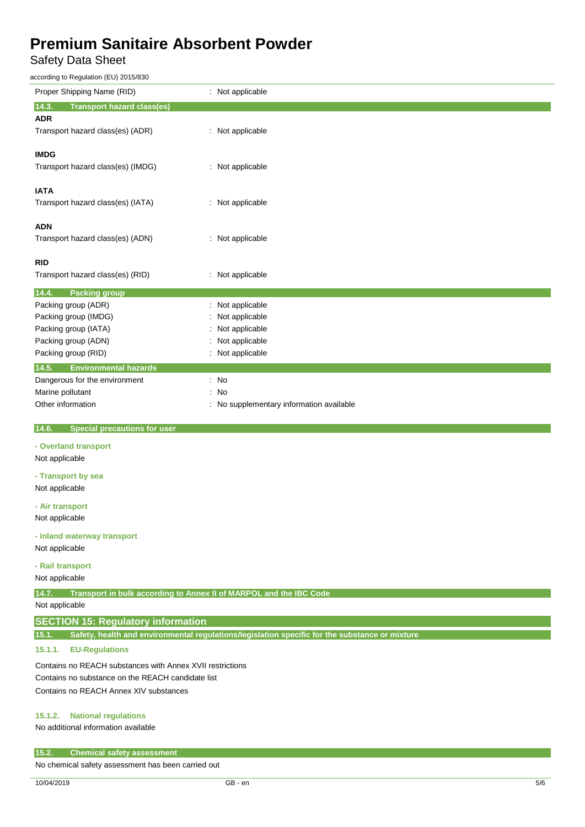## Safety Data Sheet

according to Regulation (EU) 2015/830

| according to regulation (EO) 2013/030                                       |                                                                                                |
|-----------------------------------------------------------------------------|------------------------------------------------------------------------------------------------|
| Proper Shipping Name (RID)                                                  | : Not applicable                                                                               |
| 14.3.<br><b>Transport hazard class(es)</b>                                  |                                                                                                |
| <b>ADR</b>                                                                  |                                                                                                |
| Transport hazard class(es) (ADR)                                            | : Not applicable                                                                               |
|                                                                             |                                                                                                |
| <b>IMDG</b>                                                                 |                                                                                                |
| Transport hazard class(es) (IMDG)                                           | : Not applicable                                                                               |
|                                                                             |                                                                                                |
| <b>IATA</b>                                                                 |                                                                                                |
| Transport hazard class(es) (IATA)                                           | : Not applicable                                                                               |
|                                                                             |                                                                                                |
| <b>ADN</b>                                                                  |                                                                                                |
| Transport hazard class(es) (ADN)                                            | : Not applicable                                                                               |
| <b>RID</b>                                                                  |                                                                                                |
| Transport hazard class(es) (RID)                                            | : Not applicable                                                                               |
|                                                                             |                                                                                                |
| 14.4.<br><b>Packing group</b>                                               |                                                                                                |
| Packing group (ADR)                                                         | : Not applicable                                                                               |
| Packing group (IMDG)                                                        | Not applicable                                                                                 |
| Packing group (IATA)                                                        | Not applicable                                                                                 |
| Packing group (ADN)                                                         | Not applicable                                                                                 |
| Packing group (RID)                                                         | : Not applicable                                                                               |
| 14.5.<br><b>Environmental hazards</b>                                       |                                                                                                |
| Dangerous for the environment                                               | $:$ No                                                                                         |
| Marine pollutant                                                            | No                                                                                             |
| Other information                                                           | No supplementary information available                                                         |
| 14.6.<br><b>Special precautions for user</b>                                |                                                                                                |
| - Overland transport                                                        |                                                                                                |
| Not applicable                                                              |                                                                                                |
|                                                                             |                                                                                                |
| - Transport by sea                                                          |                                                                                                |
| Not applicable                                                              |                                                                                                |
| - Air transport                                                             |                                                                                                |
| Not applicable                                                              |                                                                                                |
| - Inland waterway transport                                                 |                                                                                                |
| Not applicable                                                              |                                                                                                |
|                                                                             |                                                                                                |
| - Rail transport                                                            |                                                                                                |
| Not applicable                                                              |                                                                                                |
| 14.7.<br>Transport in bulk according to Annex II of MARPOL and the IBC Code |                                                                                                |
| Not applicable                                                              |                                                                                                |
| <b>SECTION 15: Regulatory information</b>                                   |                                                                                                |
| 15.1.                                                                       | Safety, health and environmental regulations/legislation specific for the substance or mixture |
| 15.1.1.<br><b>EU-Regulations</b>                                            |                                                                                                |
|                                                                             |                                                                                                |
| Contains no REACH substances with Annex XVII restrictions                   |                                                                                                |
| Contains no substance on the REACH candidate list                           |                                                                                                |
| Contains no REACH Annex XIV substances                                      |                                                                                                |
| <b>National regulations</b>                                                 |                                                                                                |
| 15.1.2.                                                                     |                                                                                                |

No additional information available

### **15.2. Chemical safety assessment**

No chemical safety assessment has been carried out